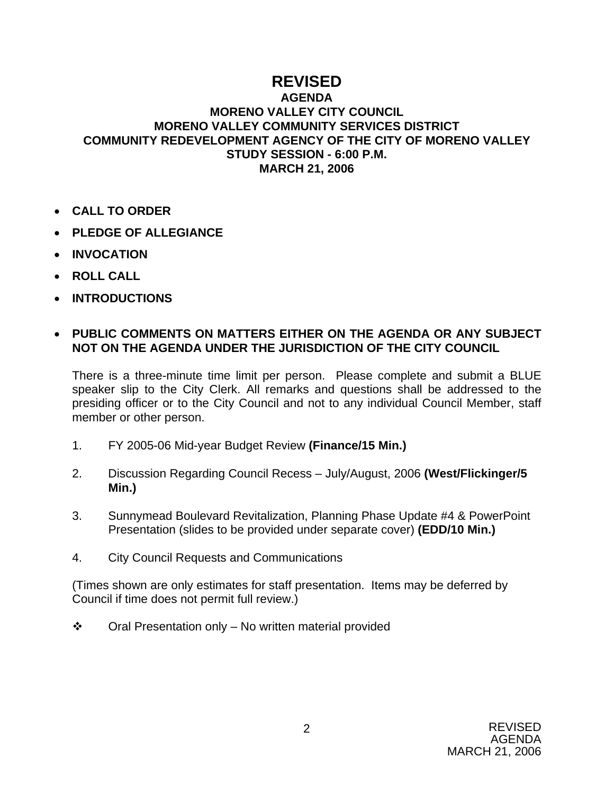## **REVISED**

## **AGENDA MORENO VALLEY CITY COUNCIL MORENO VALLEY COMMUNITY SERVICES DISTRICT COMMUNITY REDEVELOPMENT AGENCY OF THE CITY OF MORENO VALLEY STUDY SESSION - 6:00 P.M. MARCH 21, 2006**

- **CALL TO ORDER**
- **PLEDGE OF ALLEGIANCE**
- **INVOCATION**
- **ROLL CALL**
- **INTRODUCTIONS**

## • **PUBLIC COMMENTS ON MATTERS EITHER ON THE AGENDA OR ANY SUBJECT NOT ON THE AGENDA UNDER THE JURISDICTION OF THE CITY COUNCIL**

There is a three-minute time limit per person. Please complete and submit a BLUE speaker slip to the City Clerk. All remarks and questions shall be addressed to the presiding officer or to the City Council and not to any individual Council Member, staff member or other person.

- 1. FY 2005-06 Mid-year Budget Review **(Finance/15 Min.)**
- 2. Discussion Regarding Council Recess July/August, 2006 **(West/Flickinger/5 Min.)**
- 3. Sunnymead Boulevard Revitalization, Planning Phase Update #4 & PowerPoint Presentation (slides to be provided under separate cover) **(EDD/10 Min.)**
- 4. City Council Requests and Communications

(Times shown are only estimates for staff presentation. Items may be deferred by Council if time does not permit full review.)

 $\div$  Oral Presentation only – No written material provided